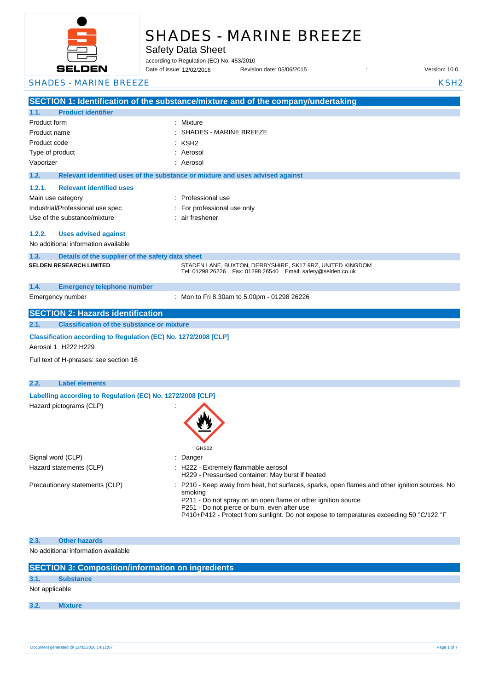

# SHADES - MARINE BREEZE

Safety Data Sheet

according to Regulation (EC) No. 453/2010

Date of issue: Revision date: 05/06/2015 : Version: 10.0 12/02/2016

**SECTION 1: Identification of the substance/mixture and of the company/undertaking 1.1. Product identifier** Product form : Nixture : Mixture Product name : Product code : Type of product in the set of the set of the set of the set of the set of the set of the set of the set of the set of the set of the set of the set of the set of the set of the set of the set of the set of the set of the s Vaporizer : Aerosol **1.2. Relevant identified uses of the substance or mixture and uses advised against 1.2.1. Relevant identified uses**  Main use category **Example 20** and the Professional use Industrial/Professional use spec : For professional use only Use of the substance/mixture : air freshener **1.2.2. Uses advised against** No additional information available **1.3. Details of the supplier of the safety data sheet 1.4. Emergency telephone number** Emergency number : **SECTION 2: Hazards identification 2.1. Classification of the substance or mixture Classification according to Regulation (EC) No. 1272/2008 [CLP]** Aerosol 1 H222;H229 Full text of H-phrases: see section 16 **2.2. Label elements Labelling according to Regulation (EC) No. 1272/2008 [CLP]** Hazard pictograms (CLP) : GHS02 Signal word (CLP)  $\qquad \qquad$ : Danger Hazard statements (CLP)  $\qquad \qquad$  : H222 - Extremely flammable aerosol H229 - Pressurised container: May burst if heated Precautionary statements (CLP) : P210 - Keep away from heat, hot surfaces, sparks, open flames and other ignition sources. No smoking P211 - Do not spray on an open flame or other ignition source P251 - Do not pierce or burn, even after use P410+P412 - Protect from sunlight. Do not expose to temperatures exceeding 50 °C/122 °F **2.3. Other hazards** No additional information available **SECTION 3: Composition/information on ingredients 3.1. Substance** Not applicable SHADES - MARINE BREEZE KASHA KASHA KASH2 KSH2 SHADES - MARINE BREEZE  $KSH2$ **SELDEN RESEARCH LIMITED** STADEN LANE, BUXTON, DERBYSHIRE, SK17 9RZ, UNITED KINGDOM Tel: 01298 26226 Fax: 01298 26540 Email: safety@selden.co.uk Mon to Fri 8.30am to 5.00pm - 01298 26226

**3.2. Mixture**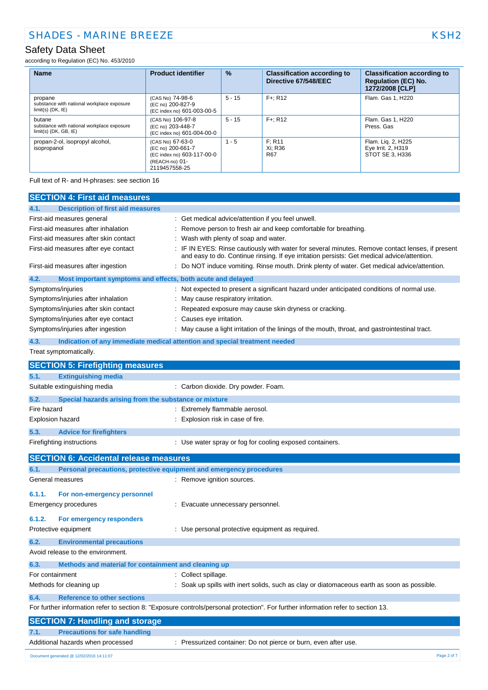according to Regulation (EC) No. 453/2010

| <b>Name</b>                                                                     | <b>Product identifier</b>                                                                              | $\frac{9}{6}$ | <b>Classification according to</b><br>Directive 67/548/EEC | <b>Classification according to</b><br><b>Regulation (EC) No.</b><br>1272/2008 [CLP] |
|---------------------------------------------------------------------------------|--------------------------------------------------------------------------------------------------------|---------------|------------------------------------------------------------|-------------------------------------------------------------------------------------|
| propane<br>substance with national workplace exposure<br>$limit(s)$ (DK, $IE$ ) | (CAS No) 74-98-6<br>(EC no) 200-827-9<br>(EC index no) 601-003-00-5                                    | $5 - 15$      | $F +: R12$                                                 | Flam. Gas 1, H220                                                                   |
| butane<br>substance with national workplace exposure<br>$limit(s)$ (DK, GB, IE) | (CAS No) 106-97-8<br>(EC no) 203-448-7<br>(EC index no) 601-004-00-0                                   | $5 - 15$      | $F +: R12$                                                 | Flam, Gas 1, H220<br>Press, Gas                                                     |
| propan-2-ol, isopropyl alcohol,<br>isopropanol                                  | (CAS No) 67-63-0<br>(EC no) 200-661-7<br>(EC index no) 603-117-00-0<br>(REACH-no) 01-<br>2119457558-25 | $1 - 5$       | F: R11<br>Xi: R36<br><b>R67</b>                            | Flam. Lig. 2, H225<br>Eye Irrit. 2, H319<br>STOT SE 3, H336                         |

Full text of R- and H-phrases: see section 16

| <b>SECTION 4: First aid measures</b>                                        |                                                                                                                                                                                               |
|-----------------------------------------------------------------------------|-----------------------------------------------------------------------------------------------------------------------------------------------------------------------------------------------|
| <b>Description of first aid measures</b><br>4.1.                            |                                                                                                                                                                                               |
| First-aid measures general                                                  | : Get medical advice/attention if you feel unwell.                                                                                                                                            |
| First-aid measures after inhalation                                         | Remove person to fresh air and keep comfortable for breathing.                                                                                                                                |
| First-aid measures after skin contact                                       | Wash with plenty of soap and water.                                                                                                                                                           |
| First-aid measures after eye contact                                        | IF IN EYES: Rinse cautiously with water for several minutes. Remove contact lenses, if present<br>and easy to do. Continue rinsing. If eye irritation persists: Get medical advice/attention. |
| First-aid measures after ingestion                                          | Do NOT induce vomiting. Rinse mouth. Drink plenty of water. Get medical advice/attention.                                                                                                     |
| 4.2.<br>Most important symptoms and effects, both acute and delayed         |                                                                                                                                                                                               |
| Symptoms/injuries                                                           | : Not expected to present a significant hazard under anticipated conditions of normal use.                                                                                                    |
| Symptoms/injuries after inhalation                                          | May cause respiratory irritation.                                                                                                                                                             |
| Symptoms/injuries after skin contact                                        | Repeated exposure may cause skin dryness or cracking.                                                                                                                                         |
| Symptoms/injuries after eye contact                                         | Causes eye irritation.                                                                                                                                                                        |
| Symptoms/injuries after ingestion                                           | May cause a light irritation of the linings of the mouth, throat, and gastrointestinal tract.                                                                                                 |
| 4.3.                                                                        | Indication of any immediate medical attention and special treatment needed                                                                                                                    |
| Treat symptomatically.                                                      |                                                                                                                                                                                               |
| <b>SECTION 5: Firefighting measures</b>                                     |                                                                                                                                                                                               |
| 5.1.<br><b>Extinguishing media</b>                                          |                                                                                                                                                                                               |
| Suitable extinguishing media                                                | : Carbon dioxide. Dry powder. Foam.                                                                                                                                                           |
| 5.2.<br>Special hazards arising from the substance or mixture               |                                                                                                                                                                                               |
| Fire hazard                                                                 | : Extremely flammable aerosol.                                                                                                                                                                |
| <b>Explosion hazard</b>                                                     | Explosion risk in case of fire.                                                                                                                                                               |
| 5.3.<br><b>Advice for firefighters</b>                                      |                                                                                                                                                                                               |
| Firefighting instructions                                                   | : Use water spray or fog for cooling exposed containers.                                                                                                                                      |
| <b>SECTION 6: Accidental release measures</b>                               |                                                                                                                                                                                               |
| Personal precautions, protective equipment and emergency procedures<br>6.1. |                                                                                                                                                                                               |
| General measures                                                            | : Remove ignition sources.                                                                                                                                                                    |
| 6.1.1.<br>For non-emergency personnel                                       |                                                                                                                                                                                               |
| <b>Emergency procedures</b>                                                 | : Evacuate unnecessary personnel.                                                                                                                                                             |
|                                                                             |                                                                                                                                                                                               |
| 6.1.2.<br>For emergency responders                                          |                                                                                                                                                                                               |
| Protective equipment                                                        | : Use personal protective equipment as required.                                                                                                                                              |
| <b>Environmental precautions</b><br>6.2.                                    |                                                                                                                                                                                               |
| Avoid release to the environment.                                           |                                                                                                                                                                                               |
| 6.3.<br>Methods and material for containment and cleaning up                |                                                                                                                                                                                               |
| For containment                                                             | : Collect spillage.                                                                                                                                                                           |
| Methods for cleaning up                                                     | Soak up spills with inert solids, such as clay or diatomaceous earth as soon as possible.                                                                                                     |
| <b>Reference to other sections</b><br>6.4.                                  |                                                                                                                                                                                               |
|                                                                             | For further information refer to section 8: "Exposure controls/personal protection". For further information refer to section 13.                                                             |
| <b>SECTION 7: Handling and storage</b>                                      |                                                                                                                                                                                               |
| <b>Precautions for safe handling</b><br>7.1.                                |                                                                                                                                                                                               |
| Additional hazards when processed                                           | : Pressurized container: Do not pierce or burn, even after use.                                                                                                                               |
| Document generated @ 12/02/2016 14:11:07                                    | Page 2 of 7                                                                                                                                                                                   |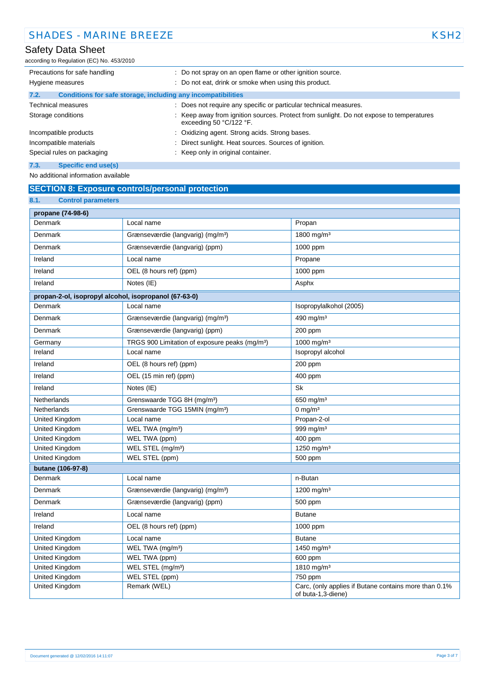according to Regulation (EC) No. 453/2010

| Precautions for safe handling                                        | : Do not spray on an open flame or other ignition source.                                                        |
|----------------------------------------------------------------------|------------------------------------------------------------------------------------------------------------------|
| Hygiene measures                                                     | : Do not eat, drink or smoke when using this product.                                                            |
| Conditions for safe storage, including any incompatibilities<br>7.2. |                                                                                                                  |
| <b>Technical measures</b>                                            | : Does not require any specific or particular technical measures.                                                |
| Storage conditions                                                   | Keep away from ignition sources. Protect from sunlight. Do not expose to temperatures<br>exceeding 50 °C/122 °F. |
| Incompatible products                                                | : Oxidizing agent. Strong acids. Strong bases.                                                                   |
| Incompatible materials                                               | Direct sunlight. Heat sources. Sources of ignition.                                                              |
| Special rules on packaging                                           | : Keep only in original container.                                                                               |
| 7.3.<br>Specific end use(s)                                          |                                                                                                                  |

No additional information available

### **SECTION 8: Exposure controls/personal protection**

| 8.1.<br><b>Control parameters</b>                     |                                                            |                                                                             |
|-------------------------------------------------------|------------------------------------------------------------|-----------------------------------------------------------------------------|
| propane (74-98-6)                                     |                                                            |                                                                             |
| Denmark                                               | Local name                                                 | Propan                                                                      |
| Denmark                                               | Grænseværdie (langvarig) (mg/m <sup>3</sup> )              | 1800 mg/m <sup>3</sup>                                                      |
| Denmark                                               | Grænseværdie (langvarig) (ppm)                             | 1000 ppm                                                                    |
| Ireland                                               | Local name                                                 | Propane                                                                     |
| Ireland                                               | OEL (8 hours ref) (ppm)                                    | 1000 ppm                                                                    |
| Ireland                                               | Notes (IE)                                                 | Asphx                                                                       |
| propan-2-ol, isopropyl alcohol, isopropanol (67-63-0) |                                                            |                                                                             |
| Denmark                                               | Local name                                                 | Isopropylalkohol (2005)                                                     |
| Denmark                                               | Grænseværdie (langvarig) (mg/m <sup>3</sup> )              | 490 mg/m $3$                                                                |
| Denmark                                               | Grænseværdie (langvarig) (ppm)                             | 200 ppm                                                                     |
| Germany                                               | TRGS 900 Limitation of exposure peaks (mg/m <sup>3</sup> ) | 1000 mg/m <sup>3</sup>                                                      |
| Ireland                                               | Local name                                                 | Isopropyl alcohol                                                           |
| Ireland                                               | OEL (8 hours ref) (ppm)                                    | 200 ppm                                                                     |
| Ireland                                               | OEL (15 min ref) (ppm)                                     | 400 ppm                                                                     |
| Ireland                                               | Notes (IE)                                                 | Sk                                                                          |
| Netherlands                                           | Grenswaarde TGG 8H (mg/m <sup>3</sup> )                    | 650 mg/m $3$                                                                |
| Netherlands                                           | Grenswaarde TGG 15MIN (mg/m <sup>3</sup> )                 | $0 \text{ mg/m}^3$                                                          |
| United Kingdom                                        | Local name                                                 | Propan-2-ol                                                                 |
| United Kingdom                                        | WEL TWA (mg/m <sup>3</sup> )                               | 999 mg/m <sup>3</sup>                                                       |
| United Kingdom                                        | WEL TWA (ppm)                                              | 400 ppm                                                                     |
| United Kingdom                                        | WEL STEL (mg/m <sup>3</sup> )                              | 1250 mg/m <sup>3</sup>                                                      |
| United Kingdom                                        | WEL STEL (ppm)                                             | 500 ppm                                                                     |
| butane (106-97-8)                                     |                                                            |                                                                             |
| Denmark                                               | Local name                                                 | n-Butan                                                                     |
| Denmark                                               | Grænseværdie (langvarig) (mg/m <sup>3</sup> )              | 1200 mg/m <sup>3</sup>                                                      |
| Denmark                                               | Grænseværdie (langvarig) (ppm)                             | 500 ppm                                                                     |
| Ireland                                               | Local name                                                 | <b>Butane</b>                                                               |
| Ireland                                               | OEL (8 hours ref) (ppm)                                    | 1000 ppm                                                                    |
| United Kingdom                                        | Local name                                                 | <b>Butane</b>                                                               |
| United Kingdom                                        | WEL TWA (mg/m <sup>3</sup> )                               | 1450 mg/m <sup>3</sup>                                                      |
| United Kingdom                                        | WEL TWA (ppm)                                              | 600 ppm                                                                     |
| United Kingdom                                        | WEL STEL (mg/m <sup>3</sup> )                              | 1810 mg/m <sup>3</sup>                                                      |
| United Kingdom                                        | WEL STEL (ppm)                                             | 750 ppm                                                                     |
| United Kingdom                                        | Remark (WEL)                                               | Carc, (only applies if Butane contains more than 0.1%<br>of buta-1,3-diene) |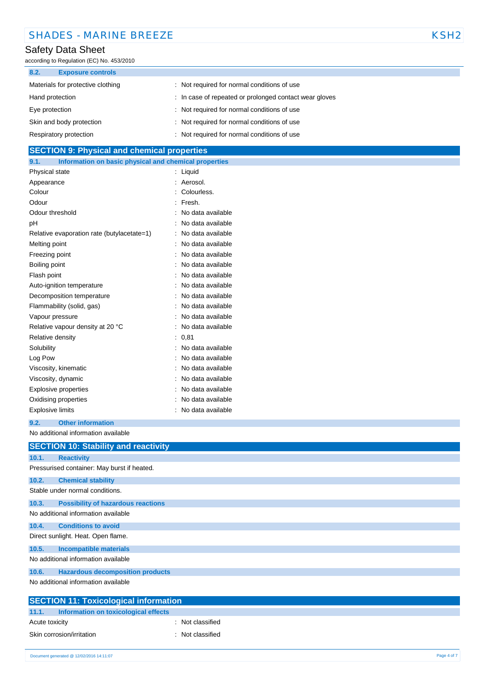| <b>SHADES - MARINE BREEZE</b> | KSH <sub>2</sub> |
|-------------------------------|------------------|
|-------------------------------|------------------|

according to Regulation (EC) No. 453/2010

| 8.2.<br><b>Exposure controls</b>  |                                                        |
|-----------------------------------|--------------------------------------------------------|
| Materials for protective clothing | Not required for normal conditions of use              |
| Hand protection                   | : In case of repeated or prolonged contact wear gloves |
| Eye protection                    | : Not required for normal conditions of use            |
| Skin and body protection          | : Not required for normal conditions of use            |
| Respiratory protection            | Not required for normal conditions of use              |

## **SECTION 9: Physical and chemical properties**

| 9.1.                    | Information on basic physical and chemical properties |                   |
|-------------------------|-------------------------------------------------------|-------------------|
| Physical state          |                                                       | Liquid            |
| Appearance              |                                                       | Aerosol.          |
| Colour                  |                                                       | Colourless.       |
| Odour                   |                                                       | Fresh.            |
| Odour threshold         |                                                       | No data available |
| рH                      |                                                       | No data available |
|                         | Relative evaporation rate (butylacetate=1)            | No data available |
| Melting point           |                                                       | No data available |
| Freezing point          |                                                       | No data available |
| Boiling point           |                                                       | No data available |
| Flash point             |                                                       | No data available |
|                         | Auto-ignition temperature                             | No data available |
|                         | Decomposition temperature                             | No data available |
|                         | Flammability (solid, gas)                             | No data available |
| Vapour pressure         |                                                       | No data available |
|                         | Relative vapour density at 20 °C                      | No data available |
| Relative density        |                                                       | 0,81              |
| Solubility              |                                                       | No data available |
| Log Pow                 |                                                       | No data available |
|                         | Viscosity, kinematic                                  | No data available |
| Viscosity, dynamic      |                                                       | No data available |
|                         | Explosive properties                                  | No data available |
|                         | Oxidising properties                                  | No data available |
| <b>Explosive limits</b> |                                                       | No data available |

#### **9.2. Other information**

No additional information available

|       | <b>SECTION 10: Stability and reactivity</b> |
|-------|---------------------------------------------|
| 10.1. | <b>Reactivity</b>                           |
|       | Pressurised container: May burst if heated. |
| 10.2. | <b>Chemical stability</b>                   |
|       | Stable under normal conditions.             |
| 10.3. | <b>Possibility of hazardous reactions</b>   |
|       | No additional information available         |
| 10.4. | <b>Conditions to avoid</b>                  |
|       | Direct sunlight. Heat. Open flame.          |
| 10.5. | <b>Incompatible materials</b>               |
|       | No additional information available         |
| 10.6. | <b>Hazardous decomposition products</b>     |
|       | No additional information available         |
|       | SECTION 11 · Tovicological information      |

| <b>SECTION 11: Toxicological information</b>  |                  |
|-----------------------------------------------|------------------|
| 11.1.<br>Information on toxicological effects |                  |
| Acute toxicity                                | : Not classified |
| Skin corrosion/irritation                     | : Not classified |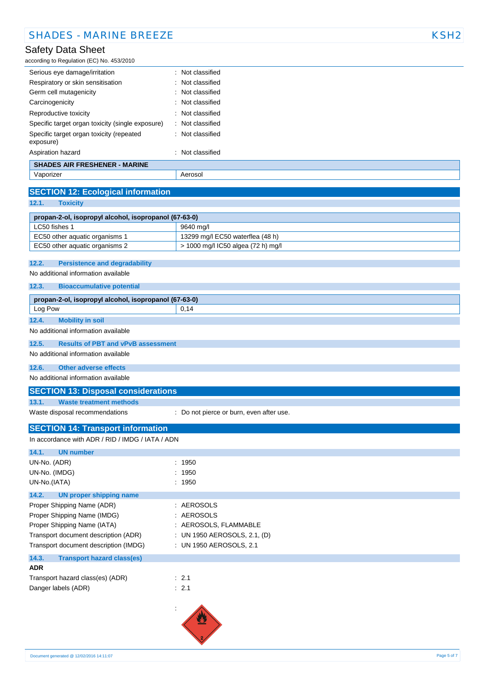according to Regulation (EC) No. 453/2010

| <b>SHADES AIR FRESHENER - MARINE</b>                  |                             |  |
|-------------------------------------------------------|-----------------------------|--|
| Aspiration hazard                                     | $\therefore$ Not classified |  |
| Specific target organ toxicity (repeated<br>exposure) | : Not classified            |  |
| Specific target organ toxicity (single exposure)      | : Not classified            |  |
| Reproductive toxicity                                 | $\therefore$ Not classified |  |
| Carcinogenicity                                       | $\therefore$ Not classified |  |
| Germ cell mutagenicity                                | : Not classified            |  |
| Respiratory or skin sensitisation                     | : Not classified            |  |
| Serious eye damage/irritation                         | : Not classified            |  |
|                                                       |                             |  |

Vaporizer **Accessible** Aerosol

### **SECTION 12: Ecological information**

**12.1. Toxicity**

|                                | -------                                               |  |
|--------------------------------|-------------------------------------------------------|--|
|                                |                                                       |  |
|                                | propan-2-ol, isopropyl alcohol, isopropanol (67-63-0) |  |
| LC50 fishes 1                  | 9640 ma/l                                             |  |
| EC50 other aquatic organisms 1 | 13299 mg/l EC50 waterflea (48 h)                      |  |
| EC50 other aquatic organisms 2 | > 1000 mg/l IC50 algea (72 h) mg/l                    |  |

#### **12.2. Persistence and degradability**

No additional information available

#### **12.3. Bioaccumulative potential**

| propan-2-ol, isopropyl alcohol, isopropanol (67-63-0) |                                           |      |
|-------------------------------------------------------|-------------------------------------------|------|
| Log Pow                                               |                                           | 0.14 |
| 12.4.                                                 | <b>Mobility in soil</b>                   |      |
|                                                       | No additional information available       |      |
| 12.5.                                                 | <b>Results of PBT and vPvB assessment</b> |      |
|                                                       | No additional information available       |      |

### **12.6. Other adverse effects**

No additional information available

#### **SECTION 13: Disposal considerations**

**13.1. Waste treatment methods**

Waste disposal recommendations : Do not pierce or burn, even after use.

### **SECTION 14: Transport information**

| In accordance with ADR / RID / IMDG / IATA / ADN |                              |  |  |
|--------------------------------------------------|------------------------------|--|--|
| <b>UN number</b><br>14.1.                        |                              |  |  |
| UN-No. (ADR)                                     | : 1950                       |  |  |
| UN-No. (IMDG)                                    | : 1950                       |  |  |
| UN-No.(IATA)                                     | : 1950                       |  |  |
| 14.2.<br>UN proper shipping name                 |                              |  |  |
| Proper Shipping Name (ADR)                       | : AEROSOLS                   |  |  |
| Proper Shipping Name (IMDG)                      | : AEROSOLS                   |  |  |
| Proper Shipping Name (IATA)                      | : AEROSOLS, FLAMMABLE        |  |  |
| Transport document description (ADR)             | : UN 1950 AEROSOLS, 2.1, (D) |  |  |
| Transport document description (IMDG)            | : UN 1950 AEROSOLS, 2.1      |  |  |
| 14.3.<br><b>Transport hazard class(es)</b>       |                              |  |  |
| <b>ADR</b>                                       |                              |  |  |
| Transport hazard class(es) (ADR)                 | : 2.1                        |  |  |
| Danger labels (ADR)                              | $\therefore$ 2.1             |  |  |
|                                                  |                              |  |  |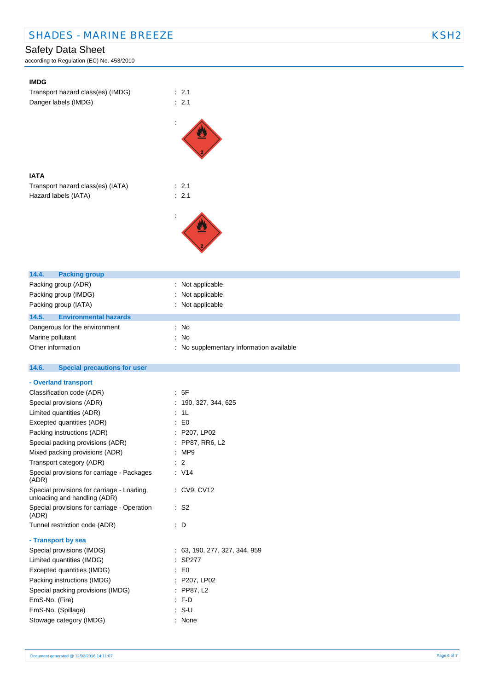according to Regulation (EC) No. 453/2010

| <b>IMDG</b>                                                            |                                          |
|------------------------------------------------------------------------|------------------------------------------|
| Transport hazard class(es) (IMDG)                                      | : 2.1                                    |
| Danger labels (IMDG)                                                   | : 2.1                                    |
|                                                                        |                                          |
|                                                                        |                                          |
|                                                                        |                                          |
|                                                                        |                                          |
|                                                                        |                                          |
|                                                                        |                                          |
| <b>IATA</b>                                                            |                                          |
| Transport hazard class(es) (IATA)                                      | : 2.1                                    |
| Hazard labels (IATA)                                                   | : 2.1                                    |
|                                                                        |                                          |
|                                                                        |                                          |
|                                                                        |                                          |
|                                                                        |                                          |
|                                                                        |                                          |
|                                                                        |                                          |
|                                                                        |                                          |
| 14.4.<br><b>Packing group</b>                                          |                                          |
| Packing group (ADR)<br>Packing group (IMDG)                            | : Not applicable<br>: Not applicable     |
| Packing group (IATA)                                                   | : Not applicable                         |
|                                                                        |                                          |
| 14.5.<br><b>Environmental hazards</b>                                  |                                          |
| Dangerous for the environment                                          | : No<br>: No                             |
| Marine pollutant<br>Other information                                  | : No supplementary information available |
|                                                                        |                                          |
|                                                                        |                                          |
| 14.6.                                                                  |                                          |
| <b>Special precautions for user</b>                                    |                                          |
| - Overland transport                                                   |                                          |
| Classification code (ADR)                                              | : 5F                                     |
| Special provisions (ADR)                                               | : 190, 327, 344, 625                     |
| Limited quantities (ADR)                                               | : 1L                                     |
| Excepted quantities (ADR)                                              | $\colon$ EO                              |
| Packing instructions (ADR)                                             | : P207, LP02                             |
| Special packing provisions (ADR)                                       | : PP87, RR6, L2                          |
| Mixed packing provisions (ADR)                                         | : MP9                                    |
| Transport category (ADR)<br>Special provisions for carriage - Packages | $\therefore$ 2<br>: V14                  |
| (ADR)                                                                  |                                          |
| Special provisions for carriage - Loading,                             | : CV9, CV12                              |
| unloading and handling (ADR)                                           |                                          |
| Special provisions for carriage - Operation                            | $\therefore$ S2                          |
| (ADR)                                                                  |                                          |
| Tunnel restriction code (ADR)                                          | : D                                      |
| - Transport by sea                                                     |                                          |
| Special provisions (IMDG)                                              | : 63, 190, 277, 327, 344, 959            |
| Limited quantities (IMDG)                                              | : SP277                                  |
| Excepted quantities (IMDG)                                             | $\therefore$ EO                          |
| Packing instructions (IMDG)                                            | : P207, LP02                             |
| Special packing provisions (IMDG)                                      | : PP87, L2                               |
| EmS-No. (Fire)<br>EmS-No. (Spillage)                                   | : F.D<br>$: S-U$                         |